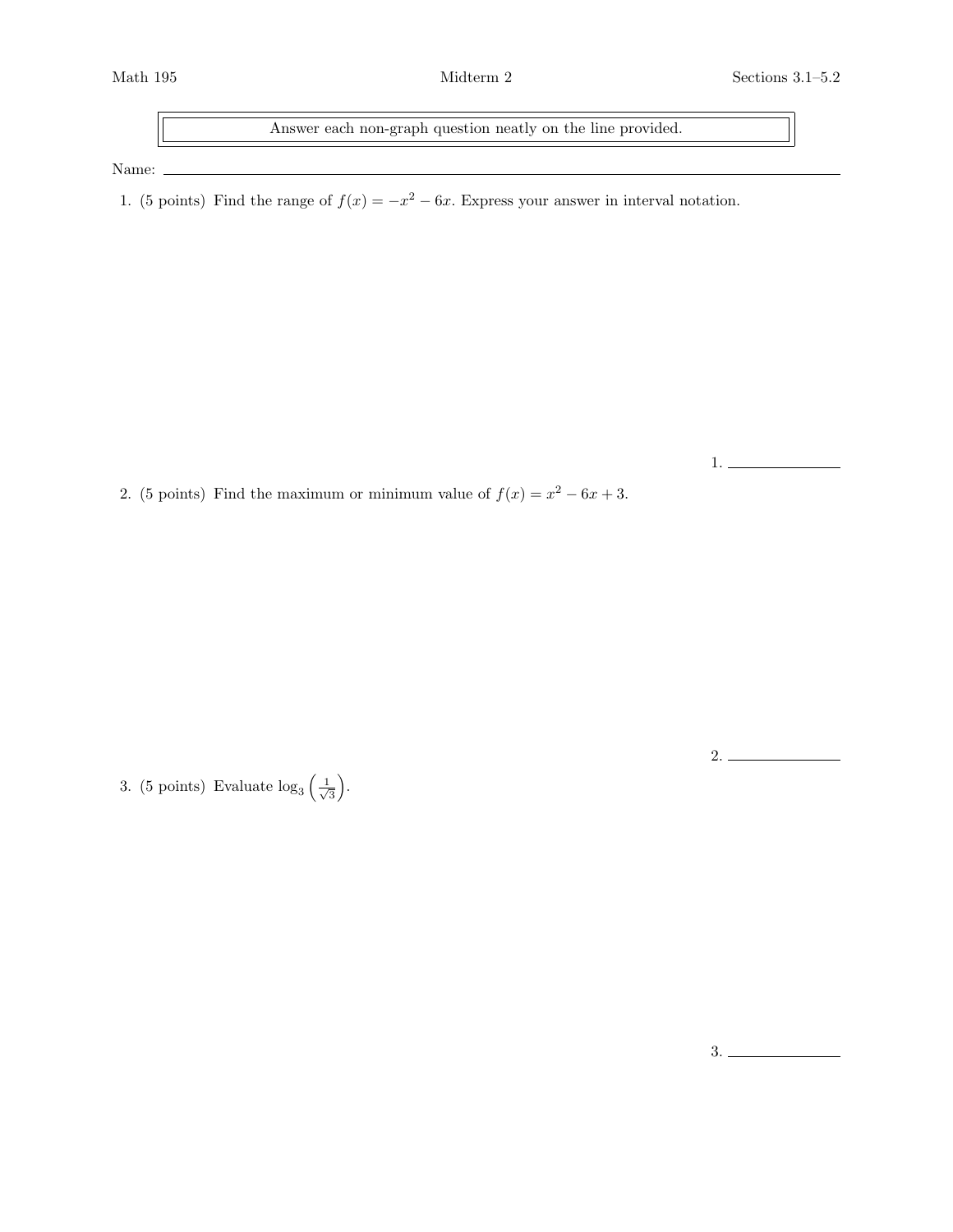Answer each non-graph question neatly on the line provided.

Name:  $\_$ 

1. (5 points) Find the range of  $f(x) = -x^2 - 6x$ . Express your answer in interval notation.

1.

2.

2. (5 points) Find the maximum or minimum value of  $f(x) = x^2 - 6x + 3$ .

3. (5 points) Evaluate  $\log_3\left(\frac{1}{\sqrt{2}}\right)$  $\frac{1}{3}$ .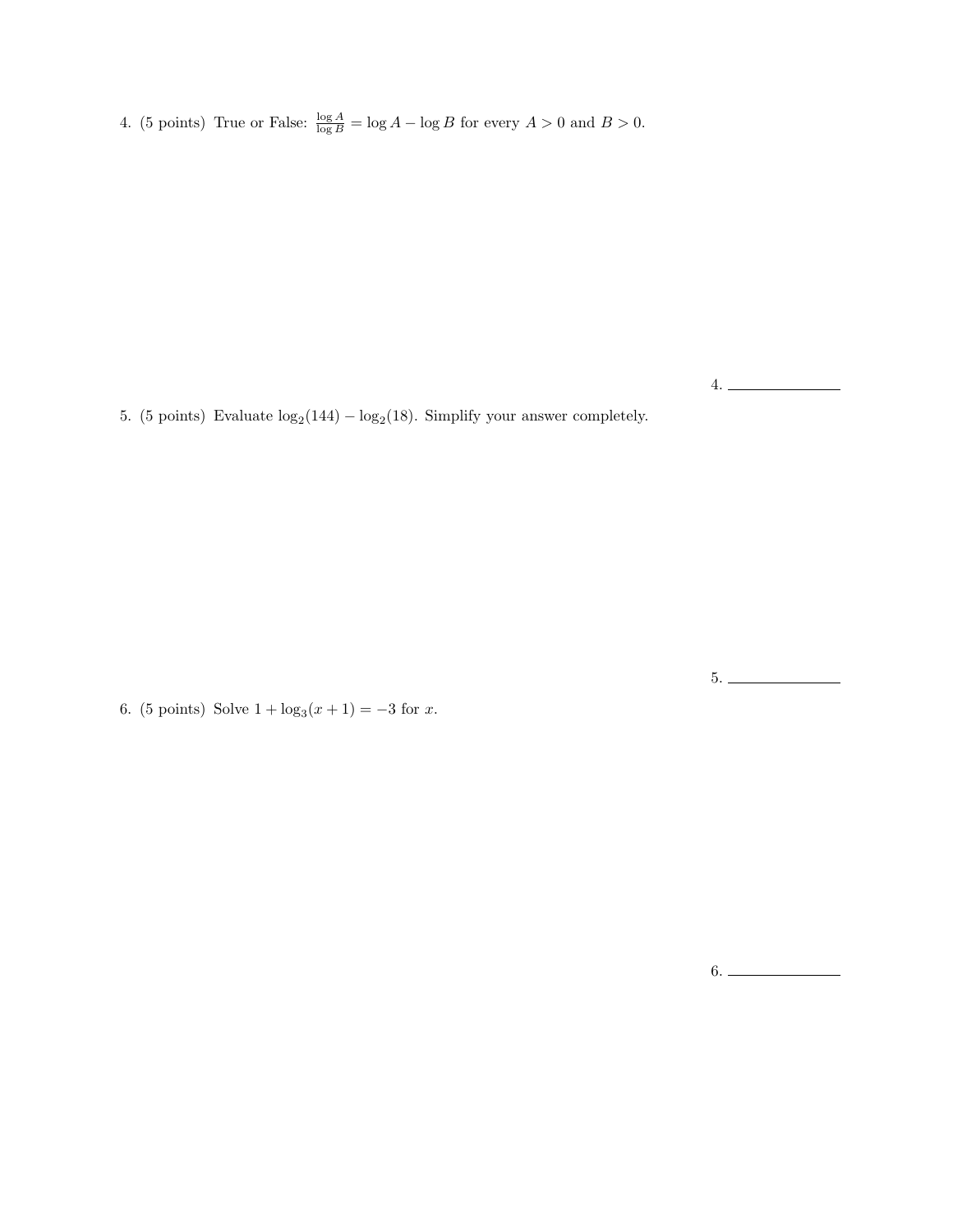4. (5 points) True or False:  $\frac{\log A}{\log B} = \log A - \log B$  for every  $A > 0$  and  $B > 0$ .

5. (5 points) Evaluate  $log_2(144) - log_2(18)$ . Simplify your answer completely.

6. (5 points) Solve  $1 + \log_3(x+1) = -3$  for x.

5.

4.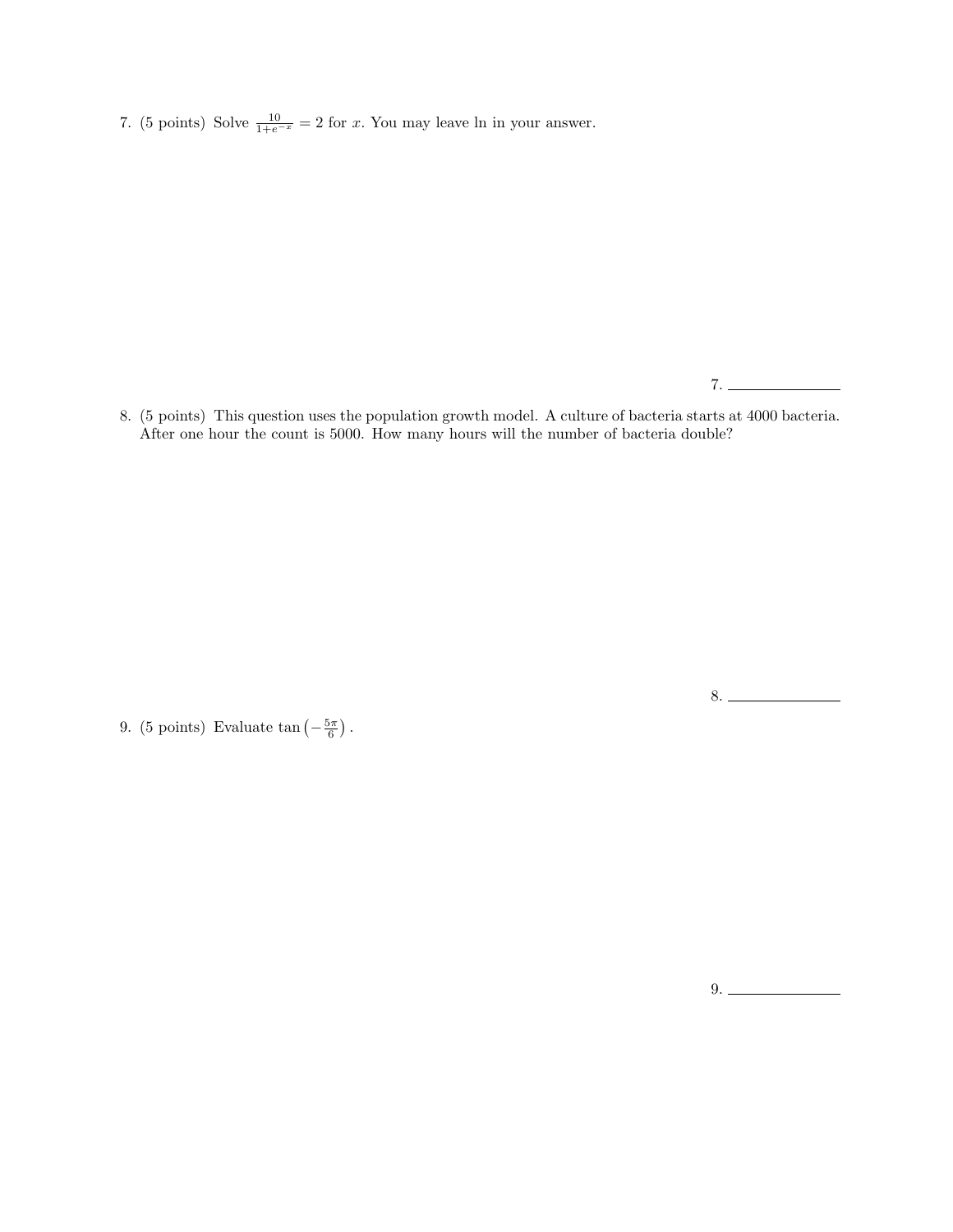7. (5 points) Solve  $\frac{10}{1+e^{-x}} = 2$  for x. You may leave ln in your answer.

7.

8. (5 points) This question uses the population growth model. A culture of bacteria starts at 4000 bacteria. After one hour the count is 5000. How many hours will the number of bacteria double?

9. (5 points) Evaluate  $\tan\left(-\frac{5\pi}{6}\right)$ .

9.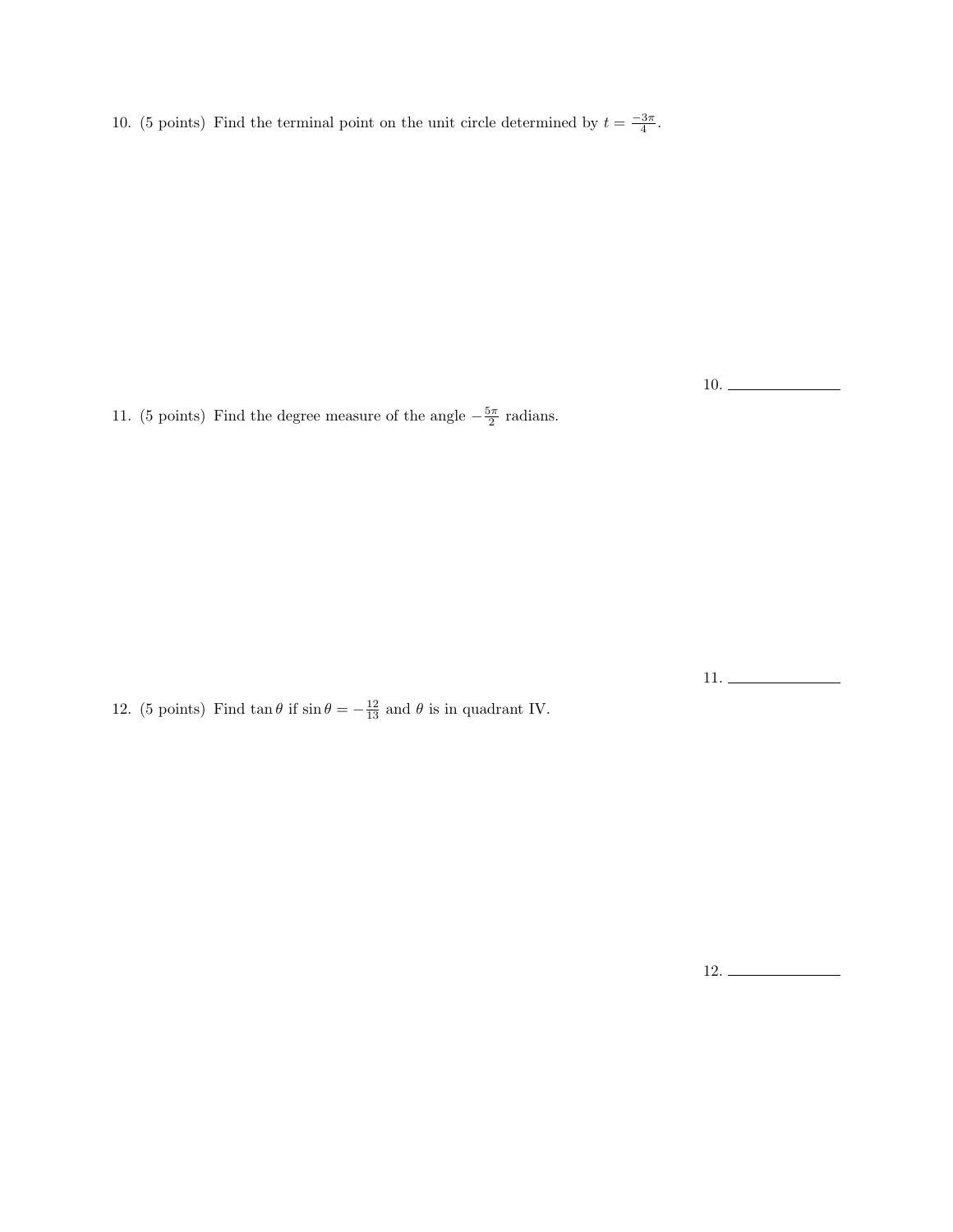10. (5 points) Find the terminal point on the unit circle determined by  $t = \frac{-3\pi}{4}$ .

10.

11. (5 points) Find the degree measure of the angle  $-\frac{5\pi}{2}$  radians.

12. (5 points) Find  $\tan \theta$  if  $\sin \theta = -\frac{12}{13}$  and  $\theta$  is in quadrant IV.

11.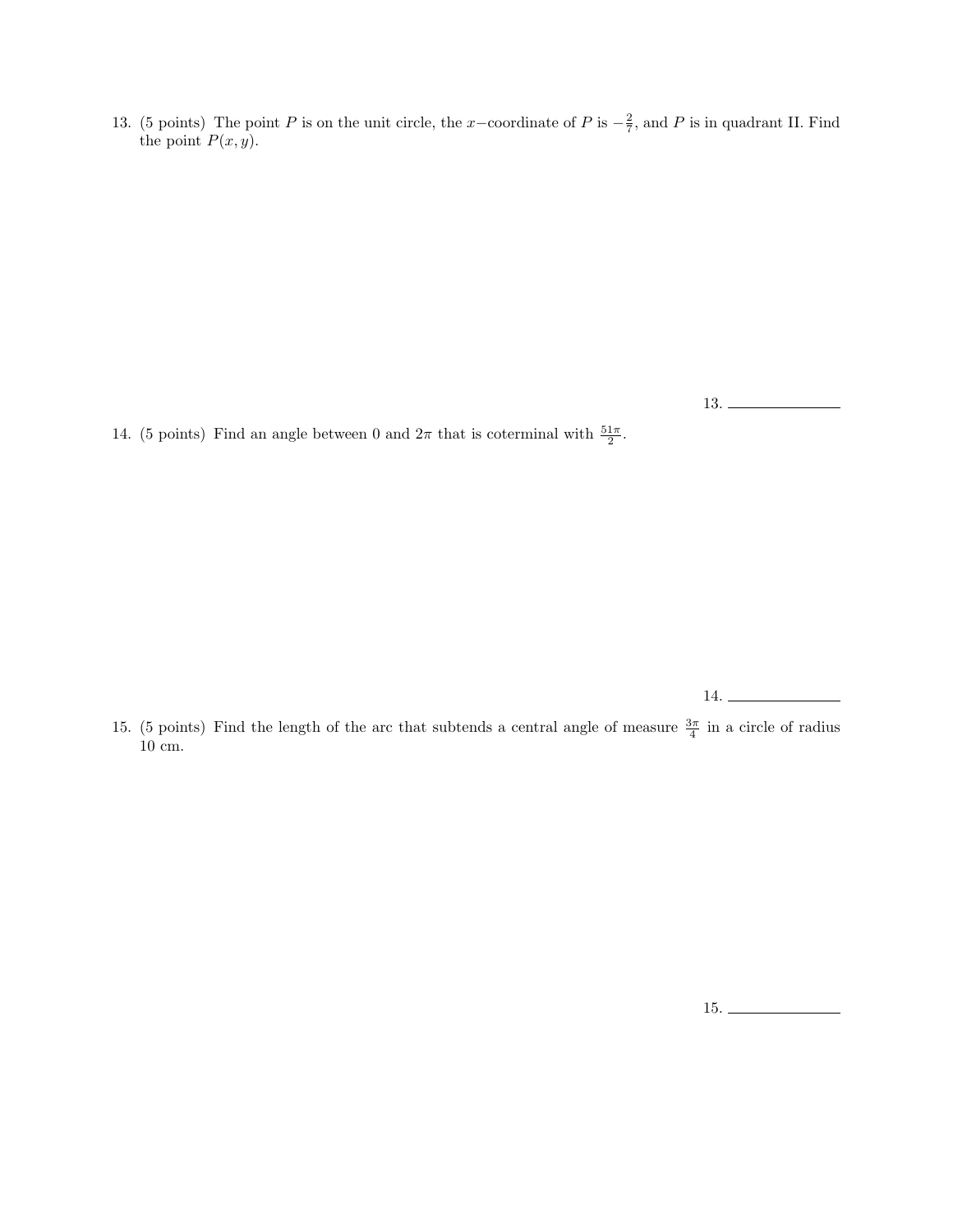13. (5 points) The point P is on the unit circle, the x-coordinate of P is  $-\frac{2}{7}$ , and P is in quadrant II. Find the point  $P(x, y)$ .

13.

14. (5 points) Find an angle between 0 and  $2\pi$  that is coterminal with  $\frac{51\pi}{2}$ .

14.

15. (5 points) Find the length of the arc that subtends a central angle of measure  $\frac{3\pi}{4}$  in a circle of radius 10 cm.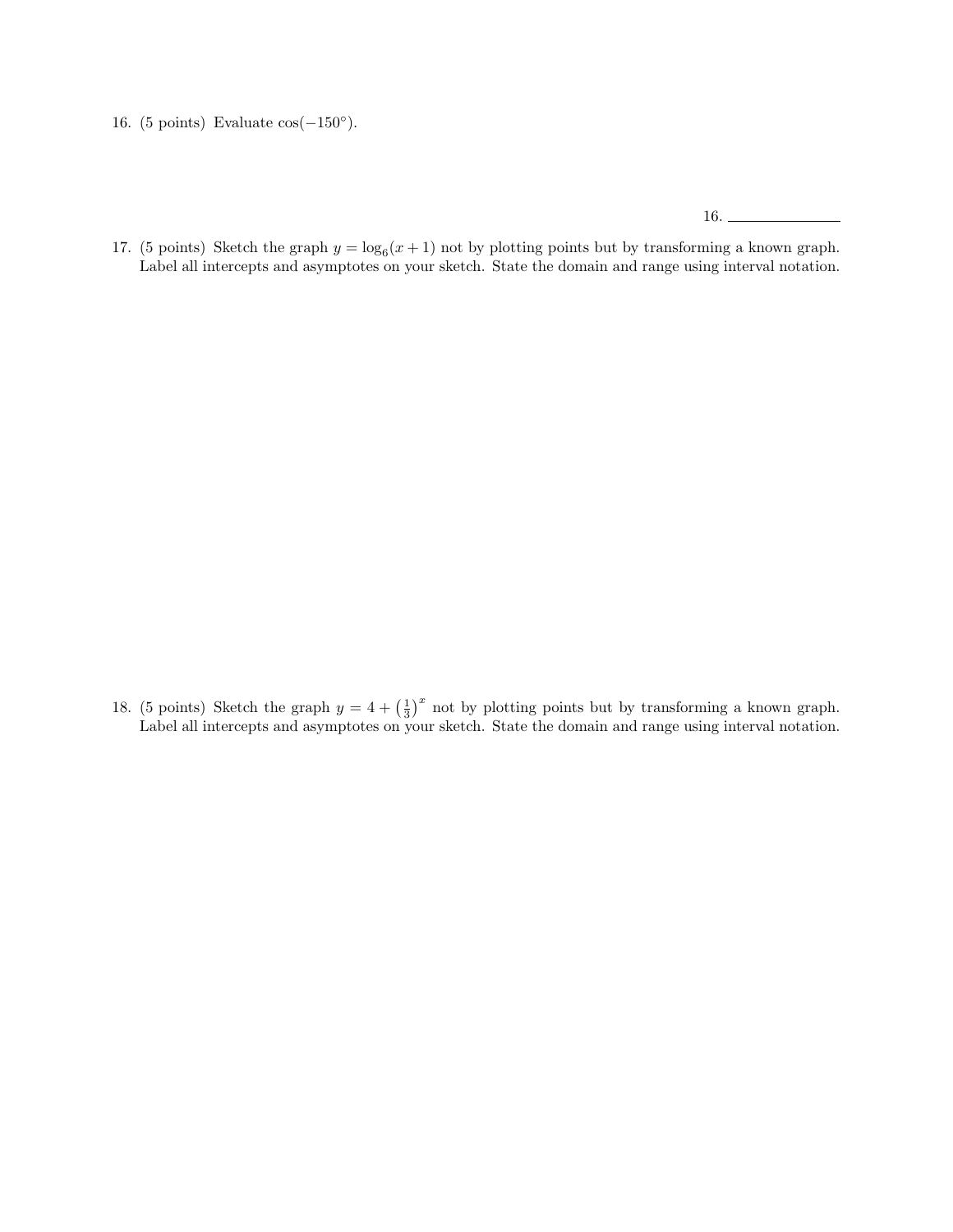16. (5 points) Evaluate  $cos(-150°)$ .

16.

17. (5 points) Sketch the graph  $y = \log_6(x+1)$  not by plotting points but by transforming a known graph. Label all intercepts and asymptotes on your sketch. State the domain and range using interval notation.

18. (5 points) Sketch the graph  $y = 4 + \left(\frac{1}{3}\right)^x$  not by plotting points but by transforming a known graph. Label all intercepts and asymptotes on your sketch. State the domain and range using interval notation.